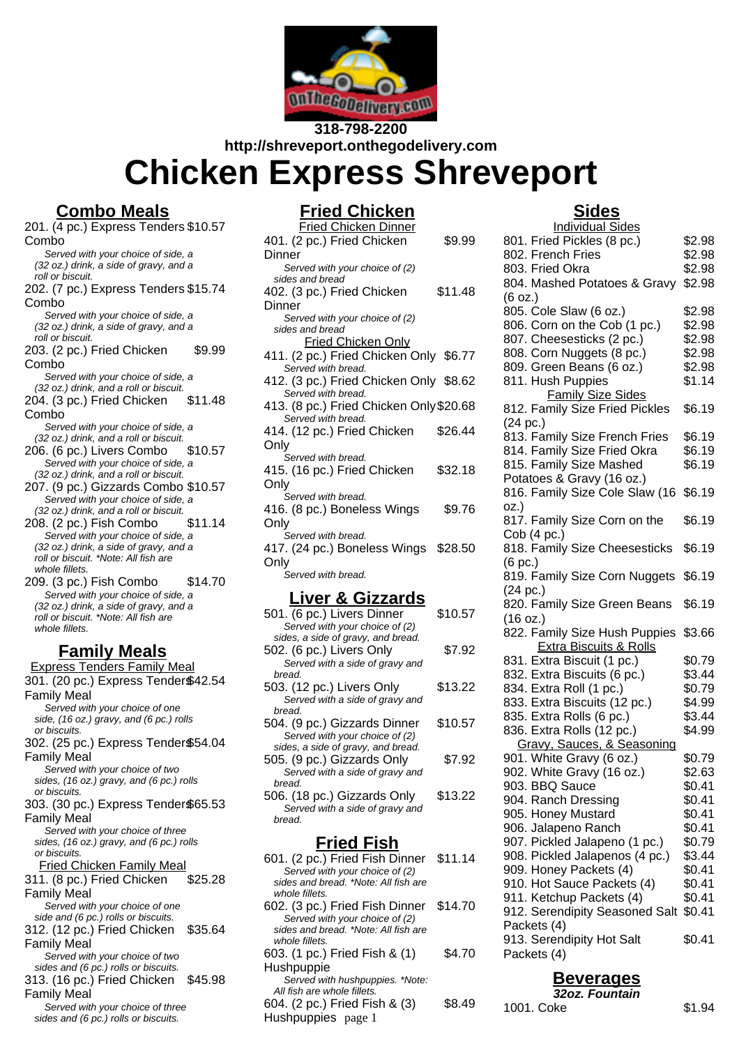

**318-798-2200 http://shreveport.onthegodelivery.com**

# **Chicken Express Shreveport**

## **Combo Meals**

201. (4 pc.) Express Tenders \$10.57 Combo Served with your choice of side, a (32 oz.) drink, a side of gravy, and a roll or biscuit. 202. (7 pc.) Express Tenders \$15.74 Combo Served with your choice of side, a (32 oz.) drink, a side of gravy, and a roll or biscuit. 203. (2 pc.) Fried Chicken Combo \$9.99 Served with your choice of side, a (32 oz.) drink, and a roll or biscuit. 204. (3 pc.) Fried Chicken Combo \$11.48 Served with your choice of side, a (32 oz.) drink, and a roll or biscuit. 206. (6 pc.) Livers Combo \$10.57 Served with your choice of side, a (32 oz.) drink, and a roll or biscuit. 207. (9 pc.) Gizzards Combo \$10.57 Served with your choice of side, a (32 oz.) drink, and a roll or biscuit. 208. (2 pc.) Fish Combo \$11.14 Served with your choice of side, a (32 oz.) drink, a side of gravy, and a roll or biscuit. \*Note: All fish are whole fillets. 209. (3 pc.) Fish Combo \$14.70 Served with your choice of side, a (32 oz.) drink, a side of gravy, and a roll or biscuit. \*Note: All fish are whole fillets. **Family Meals** Express Tenders Family Meal 301. (20 pc.) Express Tenders \$42.54 Family Meal Served with your choice of one side, (16 oz.) gravy, and (6 pc.) rolls or biscuits. 302. (25 pc.) Express Tenders \$54.04 Family Meal

Served with your choice of two sides, (16 oz.) gravy, and (6 pc.) rolls or biscuits. 303. (30 pc.) Express Tenders \$65.53 Family Meal Served with your choice of three

sides, (16 oz.) gravy, and (6 pc.) rolls or biscuits. Fried Chicken Family Meal 311. (8 pc.) Fried Chicken \$25.28

- Family Meal Served with your choice of one side and (6 pc.) rolls or biscuits.
- 312. (12 pc.) Fried Chicken Family Meal \$35.64
- Served with your choice of two sides and (6 pc.) rolls or biscuits. 313. (16 pc.) Fried Chicken \$45.98 Family Meal

| Served with your choice of three     |
|--------------------------------------|
| sides and (6 pc.) rolls or biscuits. |

## **Fried Chicken**

|                    | <u>Fried Chicken Dinner</u>             |         |
|--------------------|-----------------------------------------|---------|
|                    | 401. (2 pc.) Fried Chicken              | \$9.99  |
| Dinner             |                                         |         |
|                    | Served with your choice of (2)          |         |
| sides and bread    |                                         |         |
|                    | 402. (3 pc.) Fried Chicken              | \$11.48 |
| Dinner             |                                         |         |
|                    | Served with your choice of (2)          |         |
| sides and bread    |                                         |         |
|                    | <b>Fried Chicken Only</b>               |         |
|                    | 411. (2 pc.) Fried Chicken Only \$6.77  |         |
| Served with bread. |                                         |         |
|                    | 412. (3 pc.) Fried Chicken Only \$8.62  |         |
| Served with bread. |                                         |         |
|                    | 413. (8 pc.) Fried Chicken Only \$20.68 |         |
| Served with bread. |                                         |         |
|                    | 414. (12 pc.) Fried Chicken             | \$26.44 |
| Only               |                                         |         |
| Served with bread. |                                         |         |
|                    | 415. (16 pc.) Fried Chicken             | \$32.18 |
| Only               |                                         |         |
| Served with bread. |                                         |         |
|                    | 416. (8 pc.) Boneless Wings             | \$9.76  |
| Only               |                                         |         |
| Served with bread. |                                         |         |
|                    | 417. (24 pc.) Boneless Wings \$28.50    |         |
| Only               |                                         |         |
| Served with bread. |                                         |         |
|                    |                                         |         |

#### **Liver & Gizzards**

| 501. (6 pc.) Livers Dinner                                           | \$10.57 |
|----------------------------------------------------------------------|---------|
| Served with your choice of (2)<br>sides, a side of gravy, and bread. |         |
| 502. (6 pc.) Livers Only                                             | \$7.92  |
| Served with a side of gravy and                                      |         |
| bread.                                                               |         |
| 503. (12 pc.) Livers Only                                            | \$13.22 |
| Served with a side of gravy and                                      |         |
| bread.                                                               |         |
| 504. (9 pc.) Gizzards Dinner                                         | \$10.57 |
| Served with your choice of (2)                                       |         |
| sides, a side of gravy, and bread.                                   |         |
| 505. (9 pc.) Gizzards Only                                           | \$7.92  |
| Served with a side of gravy and<br>bread.                            |         |
| 506. (18 pc.) Gizzards Only                                          | \$13.22 |
| Served with a side of gravy and                                      |         |
| bread.                                                               |         |
|                                                                      |         |
| Fried Fish                                                           |         |
| 601. (2 pc.) Fried Fish Dinner                                       | \$11.14 |
| Served with your choice of (2)                                       |         |
| sides and bread. *Note: All fish are                                 |         |
| whole fillets.                                                       |         |
| 602. (3 pc.) Fried Fish Dinner                                       | \$14.70 |
| Served with your choice of (2)                                       |         |

| sides and bread. *Note: All fish are |        |
|--------------------------------------|--------|
| whole fillets.                       |        |
| 603. (1 pc.) Fried Fish & (1)        | \$4.70 |
| Hushpuppie                           |        |
| Served with hushpuppies. *Note:      |        |
| All fish are whole fillets.          |        |
| 604. (2 pc.) Fried Fish & (3)        | \$8.49 |

Hushpuppies page 1

## **Sides**

| siuvu<br><b>Individual Sides</b>  |        |
|-----------------------------------|--------|
| 801. Fried Pickles (8 pc.)        | \$2.98 |
|                                   |        |
| 802. French Fries                 | \$2.98 |
| 803. Fried Okra                   | \$2.98 |
| 804. Mashed Potatoes & Gravy      | \$2.98 |
| (6 oz.)                           |        |
| 805. Cole Slaw (6 oz.)            | \$2.98 |
| 806. Corn on the Cob (1 pc.)      | \$2.98 |
| 807. Cheesesticks (2 pc.)         | \$2.98 |
| 808. Corn Nuggets (8 pc.)         | \$2.98 |
| 809. Green Beans (6 oz.)          | \$2.98 |
| 811. Hush Puppies                 | \$1.14 |
|                                   |        |
| <b>Family Size Sides</b>          |        |
| 812. Family Size Fried Pickles    | \$6.19 |
| (24 pc.)                          |        |
| 813. Family Size French Fries     | \$6.19 |
| 814. Family Size Fried Okra       | \$6.19 |
| 815. Family Size Mashed           | \$6.19 |
| Potatoes & Gravy (16 oz.)         |        |
| 816. Family Size Cole Slaw (16    | \$6.19 |
| oz.)                              |        |
| 817. Family Size Corn on the      | \$6.19 |
|                                   |        |
| Cob (4 pc.)                       |        |
| 818. Family Size Cheesesticks     | \$6.19 |
| (6 pc.)                           |        |
| 819. Family Size Corn Nuggets     | \$6.19 |
| $(24 \text{ pc.})$                |        |
|                                   |        |
| 820. Family Size Green Beans      | \$6.19 |
| (16 oz.)                          |        |
|                                   |        |
| 822. Family Size Hush Puppies     | \$3.66 |
| <b>Extra Biscuits &amp; Rolls</b> |        |
| 831. Extra Biscuit (1 pc.)        | \$0.79 |
| 832. Extra Biscuits (6 pc.)       | \$3.44 |
| 834. Extra Roll (1 pc.)           | \$0.79 |
| 833. Extra Biscuits (12 pc.)      | \$4.99 |
| 835. Extra Rolls (6 pc.)          | \$3.44 |
| 836. Extra Rolls (12 pc.)         | \$4.99 |
|                                   |        |
| Gravy, Sauces, & Seasoning        |        |
| 901. White Gravy (6 oz.)          | \$0.79 |
| 902. White Gravy (16 oz.)         | \$2.63 |
| 903. BBQ Sauce                    | \$0.41 |
| 904. Ranch Dressing               | \$0.41 |
| 905. Honey Mustard                | \$0.41 |
| 906. Jalapeno Ranch               | \$0.41 |
| 907. Pickled Jalapeno (1 pc.)     | \$0.79 |
| 908. Pickled Jalapenos (4 pc.)    | \$3.44 |
| 909. Honey Packets (4)            | \$0.41 |
|                                   |        |
| 910. Hot Sauce Packets (4)        | \$0.41 |
| 911. Ketchup Packets (4)          | \$0.41 |
| 912. Serendipity Seasoned Salt    | \$0.41 |
| Packets (4)                       |        |
| 913. Serendipity Hot Salt         | \$0.41 |
| Packets (4)                       |        |

**Beverages 32oz. Fountain**

1001. Coke \$1.94